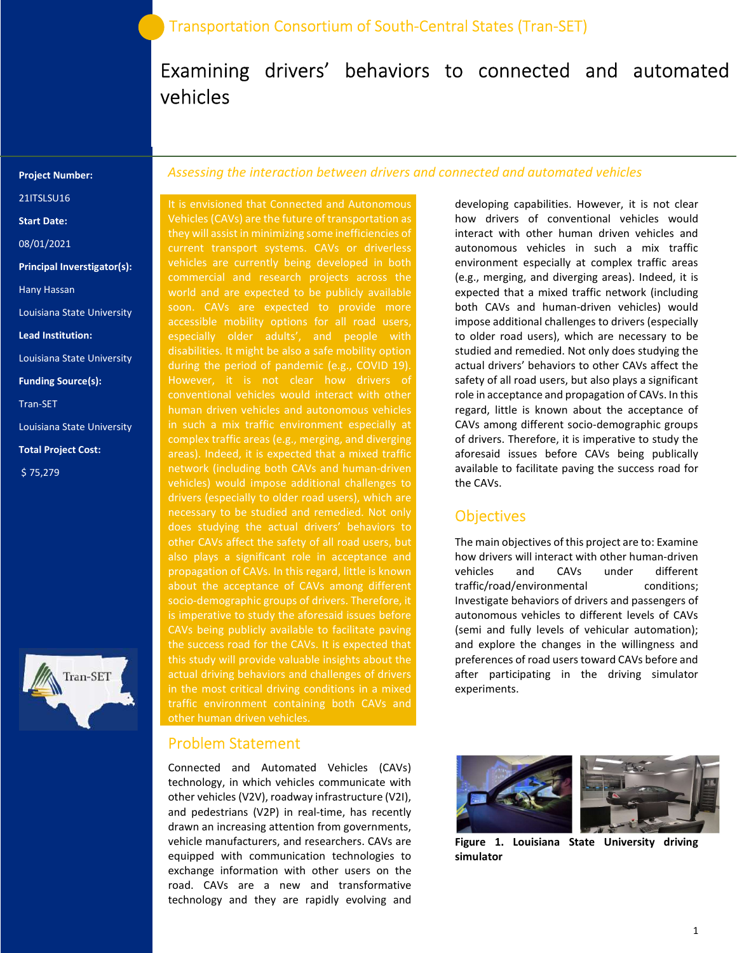# Examining drivers' behaviors to connected and automated vehicles

#### Project Number:

21ITSLSU16

Start Date:

08/01/2021

Principal Inverstigator(s):

Hany Hassan

Louisiana State University

Lead Institution:

Louisiana State University

Funding Source(s):

Tran-SET

Louisiana State University

Total Project Cost:

\$ 75,279



#### Assessing the interaction between drivers and connected and automated vehicles

It is envisioned that Connected and Autonomous Vehicles (CAVs) are the future of transportation as they will assist in minimizing some inefficiencies of current transport systems. CAVs or driverless vehicles are currently being developed in both commercial and research projects across the world and are expected to be publicly available disabilities. It might be also a safe mobility option during the period of pandemic (e.g., COVID 19). However, it is not clear how drivers of conventional vehicles would interact with other human driven vehicles and autonomous vehicles in such a mix traffic environment especially at complex traffic areas (e.g., merging, and diverging areas). Indeed, it is expected that a mixed traffic network (including both CAVs and human-driven vehicles) would impose additional challenges to drivers (especially to older road users), which are does studying the actual drivers' behaviors to also plays a significant role in acceptance and propagation of CAVs. In this regard, little is known about the acceptance of CAVs among different socio-demographic groups of drivers. Therefore, it CAVs being publicly available to facilitate paving the success road for the CAVs. It is expected that this study will provide valuable insights about the actual driving behaviors and challenges of drivers in the most critical driving conditions in a mixed traffic environment containing both CAVs and other human driven vehicles.

## Problem Statement

Connected and Automated Vehicles (CAVs) technology, in which vehicles communicate with other vehicles (V2V), roadway infrastructure (V2I), and pedestrians (V2P) in real-time, has recently drawn an increasing attention from governments, vehicle manufacturers, and researchers. CAVs are equipped with communication technologies to exchange information with other users on the road. CAVs are a new and transformative technology and they are rapidly evolving and

developing capabilities. However, it is not clear how drivers of conventional vehicles would interact with other human driven vehicles and autonomous vehicles in such a mix traffic environment especially at complex traffic areas (e.g., merging, and diverging areas). Indeed, it is expected that a mixed traffic network (including both CAVs and human-driven vehicles) would impose additional challenges to drivers (especially to older road users), which are necessary to be studied and remedied. Not only does studying the actual drivers' behaviors to other CAVs affect the safety of all road users, but also plays a significant role in acceptance and propagation of CAVs. In this regard, little is known about the acceptance of CAVs among different socio-demographic groups of drivers. Therefore, it is imperative to study the aforesaid issues before CAVs being publically available to facilitate paving the success road for the CAVs.

### **Objectives**

The main objectives of this project are to: Examine how drivers will interact with other human-driven vehicles and CAVs under different traffic/road/environmental conditions; Investigate behaviors of drivers and passengers of autonomous vehicles to different levels of CAVs (semi and fully levels of vehicular automation); and explore the changes in the willingness and preferences of road users toward CAVs before and after participating in the driving simulator experiments.



Figure 1. Louisiana State University driving simulator